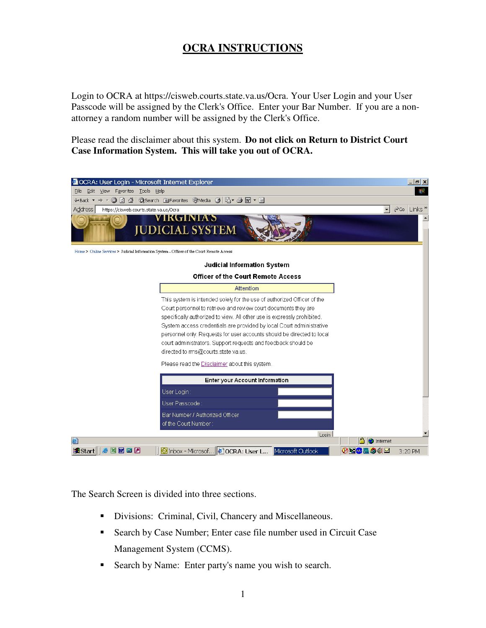## **OCRA INSTRUCTIONS**

Login to OCRA at https://cisweb.courts.state.va.us/Ocra. Your User Login and your User Passcode will be assigned by the Clerk's Office. Enter your Bar Number. If you are a nonattorney a random number will be assigned by the Clerk's Office.

Please read the disclaimer about this system. **Do not click on Return to District Court Case Information System. This will take you out of OCRA.** 



The Search Screen is divided into three sections.

- Divisions: Criminal, Civil, Chancery and Miscellaneous.
- Search by Case Number; Enter case file number used in Circuit Case Management System (CCMS).
- Search by Name: Enter party's name you wish to search.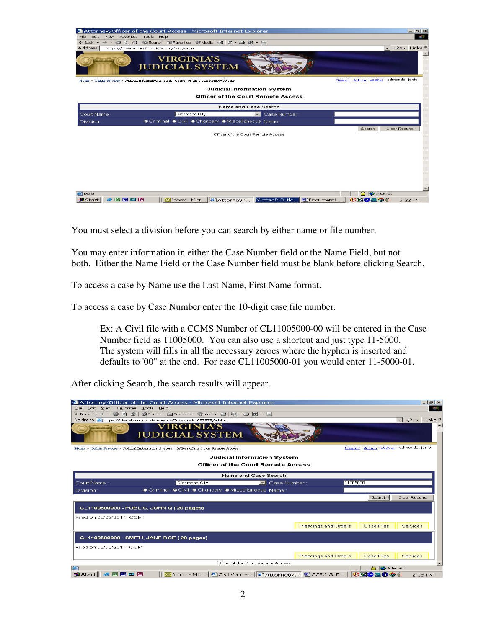

You must select a division before you can search by either name or file number.

You may enter information in either the Case Number field or the Name Field, but not both. Either the Name Field or the Case Number field must be blank before clicking Search.

To access a case by Name use the Last Name, First Name format.

To access a case by Case Number enter the 10-digit case file number.

Ex: A Civil file with a CCMS Number of CL11005000-00 will be entered in the Case Number field as 11005000. You can also use a shortcut and just type 11-5000. The system will fills in all the necessary zeroes where the hyphen is inserted and defaults to '00" at the end. For case CL11005000-01 you would enter 11-5000-01.

After clicking Search, the search results will appear.

| Attorney/Officer of the Court Access - Microsoft Internet Explorer                               | $  \leq$ $\times$                              |  |  |  |  |  |  |  |
|--------------------------------------------------------------------------------------------------|------------------------------------------------|--|--|--|--|--|--|--|
| Edit View Favorites Tools Help<br>File                                                           |                                                |  |  |  |  |  |  |  |
| 4Back ▼ → ▼ ② ② △   ◎Search 函Favorites ③Media ③   马▼ ③   函 ▼ 国                                   |                                                |  |  |  |  |  |  |  |
| Address 3 https://cisweb.courts.state.va.us/Ocra/main/627272/a.html                              | PGO Links »<br>$\vert \mathbf{v} \vert$        |  |  |  |  |  |  |  |
| <b>VIRGINIA'S</b><br><b>JUDICIAL SYSTEM</b>                                                      |                                                |  |  |  |  |  |  |  |
| Home > Online Services > Judicial Information System - Officer of the Court Remote Access        | Search Admin Logout - edmonds, janie           |  |  |  |  |  |  |  |
|                                                                                                  | <b>Judicial Information System</b>             |  |  |  |  |  |  |  |
| <b>Officer of the Court Remote Access</b>                                                        |                                                |  |  |  |  |  |  |  |
| Name and Case Search                                                                             |                                                |  |  |  |  |  |  |  |
| Richmond City<br>$\Box$ Case Number :<br>Court Name                                              | 11005000                                       |  |  |  |  |  |  |  |
| Criminal O Civil Chancery Miscellaneous Name:<br>Division:                                       |                                                |  |  |  |  |  |  |  |
|                                                                                                  | Search<br><b>Clear Results</b>                 |  |  |  |  |  |  |  |
| CL1100500000 - PUBLIC, JOHN Q (20 pages)                                                         |                                                |  |  |  |  |  |  |  |
| Filed on 05/02/2011, COM                                                                         |                                                |  |  |  |  |  |  |  |
|                                                                                                  | Pleadings and Orders<br>Case Files<br>Services |  |  |  |  |  |  |  |
| CL1100500000 - SMITH, JANE DOE (20 pages)                                                        |                                                |  |  |  |  |  |  |  |
|                                                                                                  |                                                |  |  |  |  |  |  |  |
| Filed on 05/02/2011, COM                                                                         |                                                |  |  |  |  |  |  |  |
|                                                                                                  | Pleadings and Orders<br>Case Files<br>Services |  |  |  |  |  |  |  |
| Officer of the Court Remote Access                                                               |                                                |  |  |  |  |  |  |  |
| 石                                                                                                | <b>D</b> Internet                              |  |  |  |  |  |  |  |
| <b>A</b> Start <b>&amp; B M B B</b><br>© Inbox - Mic   2 Civil Case -   2 Attorney/ [ M OCRA GUI | ※Nの皿0の4<br>$2:15$ PM                           |  |  |  |  |  |  |  |